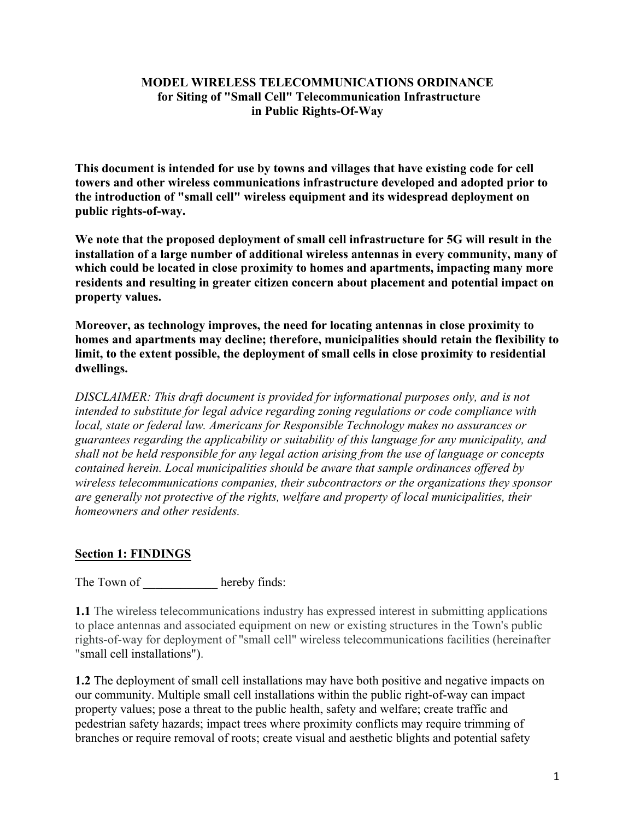#### **MODEL WIRELESS TELECOMMUNICATIONS ORDINANCE for Siting of "Small Cell" Telecommunication Infrastructure in Public Rights-Of-Way**

**This document is intended for use by towns and villages that have existing code for cell towers and other wireless communications infrastructure developed and adopted prior to the introduction of "small cell" wireless equipment and its widespread deployment on public rights-of-way.** 

**We note that the proposed deployment of small cell infrastructure for 5G will result in the installation of a large number of additional wireless antennas in every community, many of which could be located in close proximity to homes and apartments, impacting many more residents and resulting in greater citizen concern about placement and potential impact on property values.** 

**Moreover, as technology improves, the need for locating antennas in close proximity to homes and apartments may decline; therefore, municipalities should retain the flexibility to limit, to the extent possible, the deployment of small cells in close proximity to residential dwellings.** 

*DISCLAIMER: This draft document is provided for informational purposes only, and is not intended to substitute for legal advice regarding zoning regulations or code compliance with local, state or federal law. Americans for Responsible Technology makes no assurances or guarantees regarding the applicability or suitability of this language for any municipality, and shall not be held responsible for any legal action arising from the use of language or concepts contained herein. Local municipalities should be aware that sample ordinances offered by wireless telecommunications companies, their subcontractors or the organizations they sponsor are generally not protective of the rights, welfare and property of local municipalities, their homeowners and other residents.* 

## **Section 1: FINDINGS**

The Town of hereby finds:

**1.1** The wireless telecommunications industry has expressed interest in submitting applications to place antennas and associated equipment on new or existing structures in the Town's public rights-of-way for deployment of "small cell" wireless telecommunications facilities (hereinafter "small cell installations").

**1.2** The deployment of small cell installations may have both positive and negative impacts on our community. Multiple small cell installations within the public right-of-way can impact property values; pose a threat to the public health, safety and welfare; create traffic and pedestrian safety hazards; impact trees where proximity conflicts may require trimming of branches or require removal of roots; create visual and aesthetic blights and potential safety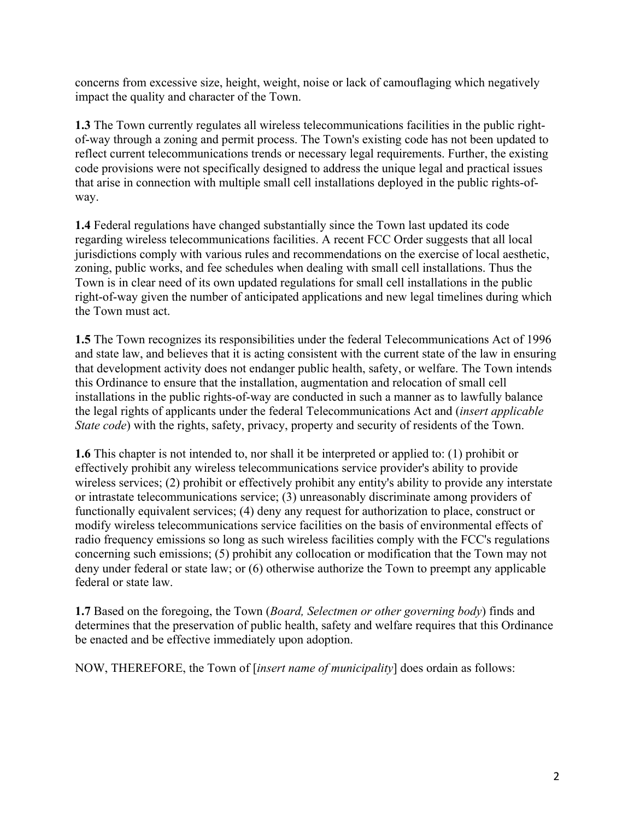concerns from excessive size, height, weight, noise or lack of camouflaging which negatively impact the quality and character of the Town.

**1.3** The Town currently regulates all wireless telecommunications facilities in the public rightof-way through a zoning and permit process. The Town's existing code has not been updated to reflect current telecommunications trends or necessary legal requirements. Further, the existing code provisions were not specifically designed to address the unique legal and practical issues that arise in connection with multiple small cell installations deployed in the public rights-ofway.

**1.4** Federal regulations have changed substantially since the Town last updated its code regarding wireless telecommunications facilities. A recent FCC Order suggests that all local jurisdictions comply with various rules and recommendations on the exercise of local aesthetic, zoning, public works, and fee schedules when dealing with small cell installations. Thus the Town is in clear need of its own updated regulations for small cell installations in the public right-of-way given the number of anticipated applications and new legal timelines during which the Town must act.

**1.5** The Town recognizes its responsibilities under the federal Telecommunications Act of 1996 and state law, and believes that it is acting consistent with the current state of the law in ensuring that development activity does not endanger public health, safety, or welfare. The Town intends this Ordinance to ensure that the installation, augmentation and relocation of small cell installations in the public rights-of-way are conducted in such a manner as to lawfully balance the legal rights of applicants under the federal Telecommunications Act and (*insert applicable State code*) with the rights, safety, privacy, property and security of residents of the Town.

**1.6** This chapter is not intended to, nor shall it be interpreted or applied to: (1) prohibit or effectively prohibit any wireless telecommunications service provider's ability to provide wireless services; (2) prohibit or effectively prohibit any entity's ability to provide any interstate or intrastate telecommunications service; (3) unreasonably discriminate among providers of functionally equivalent services; (4) deny any request for authorization to place, construct or modify wireless telecommunications service facilities on the basis of environmental effects of radio frequency emissions so long as such wireless facilities comply with the FCC's regulations concerning such emissions; (5) prohibit any collocation or modification that the Town may not deny under federal or state law; or (6) otherwise authorize the Town to preempt any applicable federal or state law.

**1.7** Based on the foregoing, the Town (*Board, Selectmen or other governing body*) finds and determines that the preservation of public health, safety and welfare requires that this Ordinance be enacted and be effective immediately upon adoption.

NOW, THEREFORE, the Town of [*insert name of municipality*] does ordain as follows: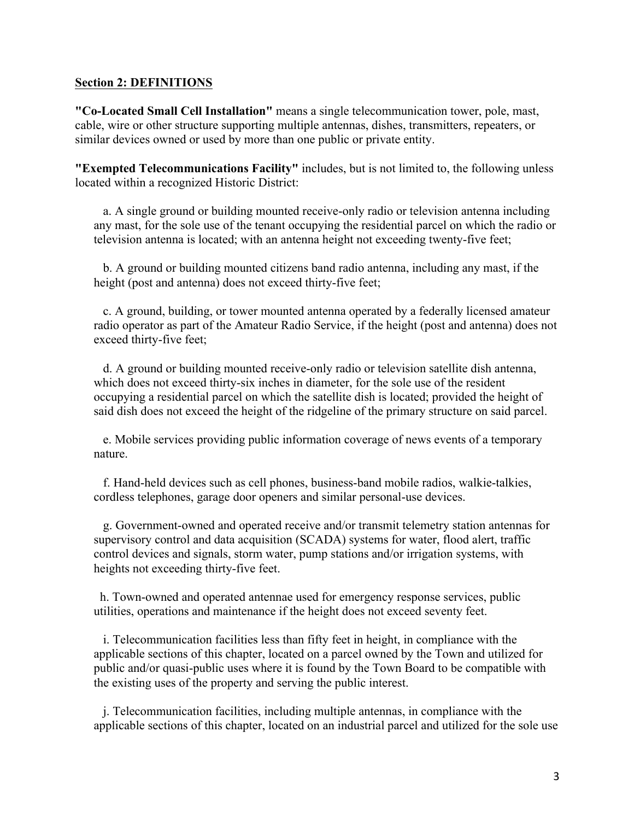#### **Section 2: DEFINITIONS**

**"Co-Located Small Cell Installation"** means a single telecommunication tower, pole, mast, cable, wire or other structure supporting multiple antennas, dishes, transmitters, repeaters, or similar devices owned or used by more than one public or private entity.

**"Exempted Telecommunications Facility"** includes, but is not limited to, the following unless located within a recognized Historic District:

 a. A single ground or building mounted receive-only radio or television antenna including any mast, for the sole use of the tenant occupying the residential parcel on which the radio or television antenna is located; with an antenna height not exceeding twenty-five feet;

 b. A ground or building mounted citizens band radio antenna, including any mast, if the height (post and antenna) does not exceed thirty-five feet;

 c. A ground, building, or tower mounted antenna operated by a federally licensed amateur radio operator as part of the Amateur Radio Service, if the height (post and antenna) does not exceed thirty-five feet;

 d. A ground or building mounted receive-only radio or television satellite dish antenna, which does not exceed thirty-six inches in diameter, for the sole use of the resident occupying a residential parcel on which the satellite dish is located; provided the height of said dish does not exceed the height of the ridgeline of the primary structure on said parcel.

 e. Mobile services providing public information coverage of news events of a temporary nature.

 f. Hand-held devices such as cell phones, business-band mobile radios, walkie-talkies, cordless telephones, garage door openers and similar personal-use devices.

 g. Government-owned and operated receive and/or transmit telemetry station antennas for supervisory control and data acquisition (SCADA) systems for water, flood alert, traffic control devices and signals, storm water, pump stations and/or irrigation systems, with heights not exceeding thirty-five feet.

 h. Town-owned and operated antennae used for emergency response services, public utilities, operations and maintenance if the height does not exceed seventy feet.

 i. Telecommunication facilities less than fifty feet in height, in compliance with the applicable sections of this chapter, located on a parcel owned by the Town and utilized for public and/or quasi-public uses where it is found by the Town Board to be compatible with the existing uses of the property and serving the public interest.

 j. Telecommunication facilities, including multiple antennas, in compliance with the applicable sections of this chapter, located on an industrial parcel and utilized for the sole use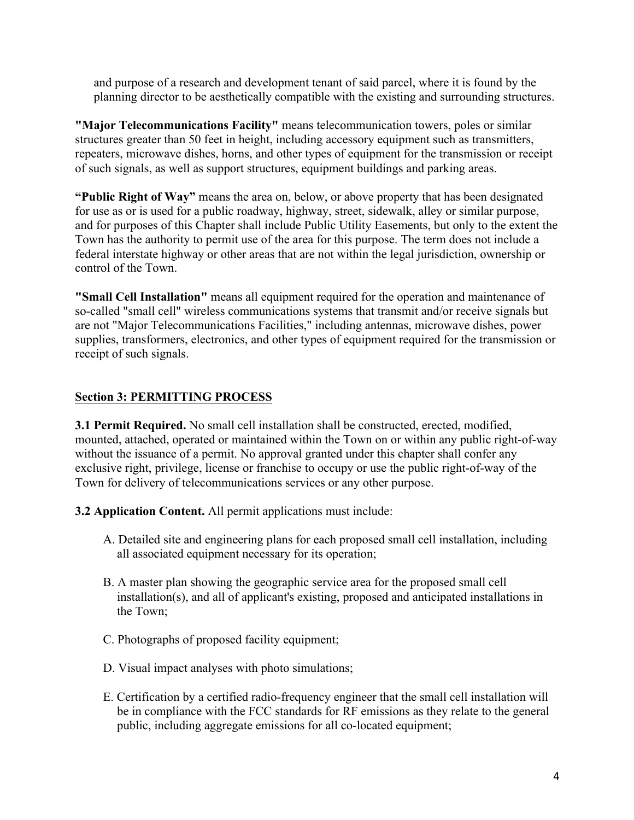and purpose of a research and development tenant of said parcel, where it is found by the planning director to be aesthetically compatible with the existing and surrounding structures.

**"Major Telecommunications Facility"** means telecommunication towers, poles or similar structures greater than 50 feet in height, including accessory equipment such as transmitters, repeaters, microwave dishes, horns, and other types of equipment for the transmission or receipt of such signals, as well as support structures, equipment buildings and parking areas.

**"Public Right of Way"** means the area on, below, or above property that has been designated for use as or is used for a public roadway, highway, street, sidewalk, alley or similar purpose, and for purposes of this Chapter shall include Public Utility Easements, but only to the extent the Town has the authority to permit use of the area for this purpose. The term does not include a federal interstate highway or other areas that are not within the legal jurisdiction, ownership or control of the Town.

**"Small Cell Installation"** means all equipment required for the operation and maintenance of so-called "small cell" wireless communications systems that transmit and/or receive signals but are not "Major Telecommunications Facilities," including antennas, microwave dishes, power supplies, transformers, electronics, and other types of equipment required for the transmission or receipt of such signals.

# **Section 3: PERMITTING PROCESS**

**3.1 Permit Required.** No small cell installation shall be constructed, erected, modified, mounted, attached, operated or maintained within the Town on or within any public right-of-way without the issuance of a permit. No approval granted under this chapter shall confer any exclusive right, privilege, license or franchise to occupy or use the public right-of-way of the Town for delivery of telecommunications services or any other purpose.

**3.2 Application Content.** All permit applications must include:

- A. Detailed site and engineering plans for each proposed small cell installation, including all associated equipment necessary for its operation;
- B. A master plan showing the geographic service area for the proposed small cell installation(s), and all of applicant's existing, proposed and anticipated installations in the Town;
- C. Photographs of proposed facility equipment;
- D. Visual impact analyses with photo simulations;
- E. Certification by a certified radio-frequency engineer that the small cell installation will be in compliance with the FCC standards for RF emissions as they relate to the general public, including aggregate emissions for all co-located equipment;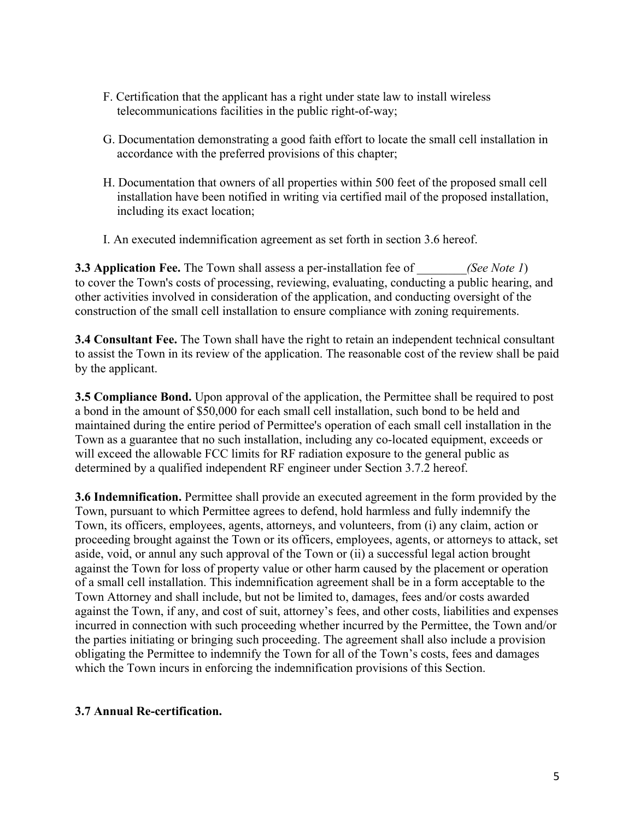- F. Certification that the applicant has a right under state law to install wireless telecommunications facilities in the public right-of-way;
- G. Documentation demonstrating a good faith effort to locate the small cell installation in accordance with the preferred provisions of this chapter;
- H. Documentation that owners of all properties within 500 feet of the proposed small cell installation have been notified in writing via certified mail of the proposed installation, including its exact location;
- I. An executed indemnification agreement as set forth in section 3.6 hereof.

**3.3 Application Fee.** The Town shall assess a per-installation fee of *(See Note 1)* to cover the Town's costs of processing, reviewing, evaluating, conducting a public hearing, and other activities involved in consideration of the application, and conducting oversight of the construction of the small cell installation to ensure compliance with zoning requirements.

**3.4 Consultant Fee.** The Town shall have the right to retain an independent technical consultant to assist the Town in its review of the application. The reasonable cost of the review shall be paid by the applicant.

**3.5 Compliance Bond.** Upon approval of the application, the Permittee shall be required to post a bond in the amount of \$50,000 for each small cell installation, such bond to be held and maintained during the entire period of Permittee's operation of each small cell installation in the Town as a guarantee that no such installation, including any co-located equipment, exceeds or will exceed the allowable FCC limits for RF radiation exposure to the general public as determined by a qualified independent RF engineer under Section 3.7.2 hereof.

**3.6 Indemnification.** Permittee shall provide an executed agreement in the form provided by the Town, pursuant to which Permittee agrees to defend, hold harmless and fully indemnify the Town, its officers, employees, agents, attorneys, and volunteers, from (i) any claim, action or proceeding brought against the Town or its officers, employees, agents, or attorneys to attack, set aside, void, or annul any such approval of the Town or (ii) a successful legal action brought against the Town for loss of property value or other harm caused by the placement or operation of a small cell installation. This indemnification agreement shall be in a form acceptable to the Town Attorney and shall include, but not be limited to, damages, fees and/or costs awarded against the Town, if any, and cost of suit, attorney's fees, and other costs, liabilities and expenses incurred in connection with such proceeding whether incurred by the Permittee, the Town and/or the parties initiating or bringing such proceeding. The agreement shall also include a provision obligating the Permittee to indemnify the Town for all of the Town's costs, fees and damages which the Town incurs in enforcing the indemnification provisions of this Section.

### **3.7 Annual Re-certification.**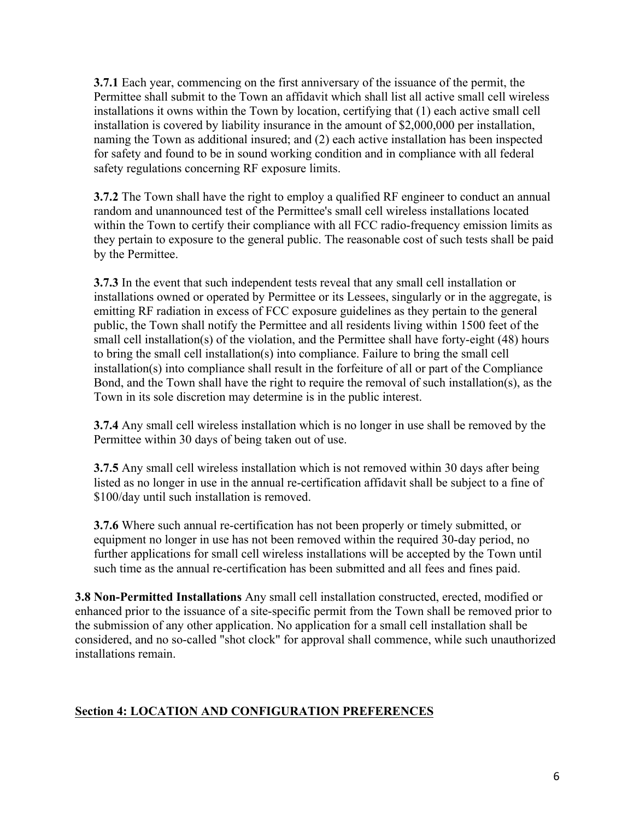**3.7.1** Each year, commencing on the first anniversary of the issuance of the permit, the Permittee shall submit to the Town an affidavit which shall list all active small cell wireless installations it owns within the Town by location, certifying that (1) each active small cell installation is covered by liability insurance in the amount of \$2,000,000 per installation, naming the Town as additional insured; and (2) each active installation has been inspected for safety and found to be in sound working condition and in compliance with all federal safety regulations concerning RF exposure limits.

**3.7.2** The Town shall have the right to employ a qualified RF engineer to conduct an annual random and unannounced test of the Permittee's small cell wireless installations located within the Town to certify their compliance with all FCC radio-frequency emission limits as they pertain to exposure to the general public. The reasonable cost of such tests shall be paid by the Permittee.

**3.7.3** In the event that such independent tests reveal that any small cell installation or installations owned or operated by Permittee or its Lessees, singularly or in the aggregate, is emitting RF radiation in excess of FCC exposure guidelines as they pertain to the general public, the Town shall notify the Permittee and all residents living within 1500 feet of the small cell installation(s) of the violation, and the Permittee shall have forty-eight (48) hours to bring the small cell installation(s) into compliance. Failure to bring the small cell installation(s) into compliance shall result in the forfeiture of all or part of the Compliance Bond, and the Town shall have the right to require the removal of such installation(s), as the Town in its sole discretion may determine is in the public interest.

**3.7.4** Any small cell wireless installation which is no longer in use shall be removed by the Permittee within 30 days of being taken out of use.

**3.7.5** Any small cell wireless installation which is not removed within 30 days after being listed as no longer in use in the annual re-certification affidavit shall be subject to a fine of \$100/day until such installation is removed.

**3.7.6** Where such annual re-certification has not been properly or timely submitted, or equipment no longer in use has not been removed within the required 30-day period, no further applications for small cell wireless installations will be accepted by the Town until such time as the annual re-certification has been submitted and all fees and fines paid.

**3.8 Non-Permitted Installations** Any small cell installation constructed, erected, modified or enhanced prior to the issuance of a site-specific permit from the Town shall be removed prior to the submission of any other application. No application for a small cell installation shall be considered, and no so-called "shot clock" for approval shall commence, while such unauthorized installations remain.

## **Section 4: LOCATION AND CONFIGURATION PREFERENCES**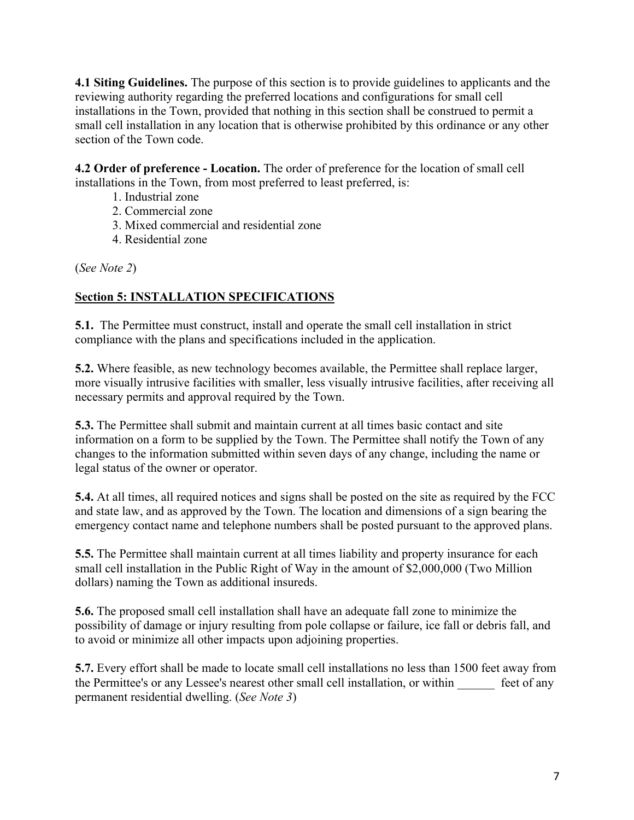**4.1 Siting Guidelines.** The purpose of this section is to provide guidelines to applicants and the reviewing authority regarding the preferred locations and configurations for small cell installations in the Town, provided that nothing in this section shall be construed to permit a small cell installation in any location that is otherwise prohibited by this ordinance or any other section of the Town code.

**4.2 Order of preference - Location.** The order of preference for the location of small cell installations in the Town, from most preferred to least preferred, is:

- 1. Industrial zone
- 2. Commercial zone
- 3. Mixed commercial and residential zone
- 4. Residential zone

(*See Note 2*)

# **Section 5: INSTALLATION SPECIFICATIONS**

**5.1.** The Permittee must construct, install and operate the small cell installation in strict compliance with the plans and specifications included in the application.

**5.2.** Where feasible, as new technology becomes available, the Permittee shall replace larger, more visually intrusive facilities with smaller, less visually intrusive facilities, after receiving all necessary permits and approval required by the Town.

**5.3.** The Permittee shall submit and maintain current at all times basic contact and site information on a form to be supplied by the Town. The Permittee shall notify the Town of any changes to the information submitted within seven days of any change, including the name or legal status of the owner or operator.

**5.4.** At all times, all required notices and signs shall be posted on the site as required by the FCC and state law, and as approved by the Town. The location and dimensions of a sign bearing the emergency contact name and telephone numbers shall be posted pursuant to the approved plans.

**5.5.** The Permittee shall maintain current at all times liability and property insurance for each small cell installation in the Public Right of Way in the amount of \$2,000,000 (Two Million dollars) naming the Town as additional insureds.

**5.6.** The proposed small cell installation shall have an adequate fall zone to minimize the possibility of damage or injury resulting from pole collapse or failure, ice fall or debris fall, and to avoid or minimize all other impacts upon adjoining properties.

**5.7.** Every effort shall be made to locate small cell installations no less than 1500 feet away from the Permittee's or any Lessee's nearest other small cell installation, or within feet of any permanent residential dwelling. (*See Note 3*)